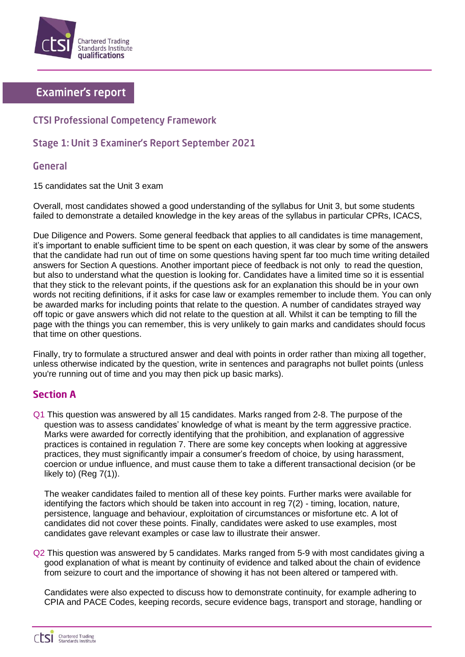

# **Examiner's report**

## **CTSI Professional Competency Framework**

## Stage 1: Unit 3 Examiner's Report September 2021

### **General**

15 candidates sat the Unit 3 exam

Overall, most candidates showed a good understanding of the syllabus for Unit 3, but some students failed to demonstrate a detailed knowledge in the key areas of the syllabus in particular CPRs, ICACS,

Due Diligence and Powers. Some general feedback that applies to all candidates is time management, it's important to enable sufficient time to be spent on each question, it was clear by some of the answers that the candidate had run out of time on some questions having spent far too much time writing detailed answers for Section A questions. Another important piece of feedback is not only to read the question, but also to understand what the question is looking for. Candidates have a limited time so it is essential that they stick to the relevant points, if the questions ask for an explanation this should be in your own words not reciting definitions, if it asks for case law or examples remember to include them. You can only be awarded marks for including points that relate to the question. A number of candidates strayed way off topic or gave answers which did not relate to the question at all. Whilst it can be tempting to fill the page with the things you can remember, this is very unlikely to gain marks and candidates should focus that time on other questions.

Finally, try to formulate a structured answer and deal with points in order rather than mixing all together, unless otherwise indicated by the question, write in sentences and paragraphs not bullet points (unless you're running out of time and you may then pick up basic marks).

## **Section A**

Q1 This question was answered by all 15 candidates. Marks ranged from 2-8. The purpose of the question was to assess candidates' knowledge of what is meant by the term aggressive practice. Marks were awarded for correctly identifying that the prohibition, and explanation of aggressive practices is contained in regulation 7. There are some key concepts when looking at aggressive practices, they must significantly impair a consumer's freedom of choice, by using harassment, coercion or undue influence, and must cause them to take a different transactional decision (or be likely to) (Reg 7(1)).

The weaker candidates failed to mention all of these key points. Further marks were available for identifying the factors which should be taken into account in reg 7(2) - timing, location, nature, persistence, language and behaviour, exploitation of circumstances or misfortune etc. A lot of candidates did not cover these points. Finally, candidates were asked to use examples, most candidates gave relevant examples or case law to illustrate their answer.

Q2 This question was answered by 5 candidates. Marks ranged from 5-9 with most candidates giving a good explanation of what is meant by continuity of evidence and talked about the chain of evidence from seizure to court and the importance of showing it has not been altered or tampered with.

Candidates were also expected to discuss how to demonstrate continuity, for example adhering to CPIA and PACE Codes, keeping records, secure evidence bags, transport and storage, handling or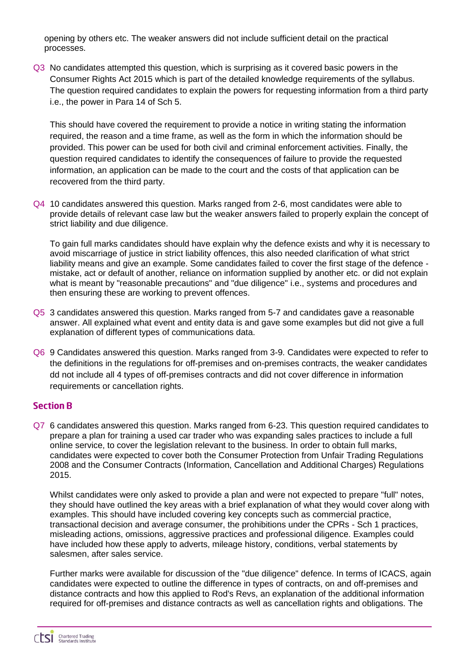opening by others etc. The weaker answers did not include sufficient detail on the practical processes.

Q3 No candidates attempted this question, which is surprising as it covered basic powers in the Consumer Rights Act 2015 which is part of the detailed knowledge requirements of the syllabus. The question required candidates to explain the powers for requesting information from a third party i.e., the power in Para 14 of Sch 5.

This should have covered the requirement to provide a notice in writing stating the information required, the reason and a time frame, as well as the form in which the information should be provided. This power can be used for both civil and criminal enforcement activities. Finally, the question required candidates to identify the consequences of failure to provide the requested information, an application can be made to the court and the costs of that application can be recovered from the third party.

Q4 10 candidates answered this question. Marks ranged from 2-6, most candidates were able to provide details of relevant case law but the weaker answers failed to properly explain the concept of strict liability and due diligence.

To gain full marks candidates should have explain why the defence exists and why it is necessary to avoid miscarriage of justice in strict liability offences, this also needed clarification of what strict liability means and give an example. Some candidates failed to cover the first stage of the defence mistake, act or default of another, reliance on information supplied by another etc. or did not explain what is meant by "reasonable precautions" and "due diligence" i.e., systems and procedures and then ensuring these are working to prevent offences.

- Q5 3 candidates answered this question. Marks ranged from 5-7 and candidates gave a reasonable answer. All explained what event and entity data is and gave some examples but did not give a full explanation of different types of communications data.
- Q6 9 Candidates answered this question. Marks ranged from 3-9. Candidates were expected to refer to the definitions in the regulations for off-premises and on-premises contracts, the weaker candidates dd not include all 4 types of off-premises contracts and did not cover difference in information requirements or cancellation rights.

#### **Section B**

Q7 6 candidates answered this question. Marks ranged from 6-23. This question required candidates to prepare a plan for training a used car trader who was expanding sales practices to include a full online service, to cover the legislation relevant to the business. In order to obtain full marks, candidates were expected to cover both the Consumer Protection from Unfair Trading Regulations 2008 and the Consumer Contracts (Information, Cancellation and Additional Charges) Regulations 2015.

Whilst candidates were only asked to provide a plan and were not expected to prepare "full" notes, they should have outlined the key areas with a brief explanation of what they would cover along with examples. This should have included covering key concepts such as commercial practice, transactional decision and average consumer, the prohibitions under the CPRs - Sch 1 practices, misleading actions, omissions, aggressive practices and professional diligence. Examples could have included how these apply to adverts, mileage history, conditions, verbal statements by salesmen, after sales service.

Further marks were available for discussion of the "due diligence" defence. In terms of ICACS, again candidates were expected to outline the difference in types of contracts, on and off-premises and distance contracts and how this applied to Rod's Revs, an explanation of the additional information required for off-premises and distance contracts as well as cancellation rights and obligations. The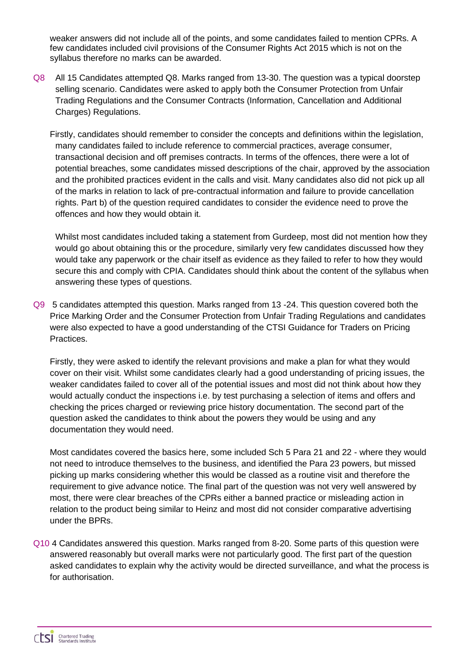weaker answers did not include all of the points, and some candidates failed to mention CPRs. A few candidates included civil provisions of the Consumer Rights Act 2015 which is not on the syllabus therefore no marks can be awarded.

- Q8 All 15 Candidates attempted Q8. Marks ranged from 13-30. The question was a typical doorstep selling scenario. Candidates were asked to apply both the Consumer Protection from Unfair Trading Regulations and the Consumer Contracts (Information, Cancellation and Additional Charges) Regulations.
	- Firstly, candidates should remember to consider the concepts and definitions within the legislation, many candidates failed to include reference to commercial practices, average consumer, transactional decision and off premises contracts. In terms of the offences, there were a lot of potential breaches, some candidates missed descriptions of the chair, approved by the association and the prohibited practices evident in the calls and visit. Many candidates also did not pick up all of the marks in relation to lack of pre-contractual information and failure to provide cancellation rights. Part b) of the question required candidates to consider the evidence need to prove the offences and how they would obtain it.

Whilst most candidates included taking a statement from Gurdeep, most did not mention how they would go about obtaining this or the procedure, similarly very few candidates discussed how they would take any paperwork or the chair itself as evidence as they failed to refer to how they would secure this and comply with CPIA. Candidates should think about the content of the syllabus when answering these types of questions.

Q9 5 candidates attempted this question. Marks ranged from 13 -24. This question covered both the Price Marking Order and the Consumer Protection from Unfair Trading Regulations and candidates were also expected to have a good understanding of the CTSI Guidance for Traders on Pricing Practices.

Firstly, they were asked to identify the relevant provisions and make a plan for what they would cover on their visit. Whilst some candidates clearly had a good understanding of pricing issues, the weaker candidates failed to cover all of the potential issues and most did not think about how they would actually conduct the inspections i.e. by test purchasing a selection of items and offers and checking the prices charged or reviewing price history documentation. The second part of the question asked the candidates to think about the powers they would be using and any documentation they would need.

Most candidates covered the basics here, some included Sch 5 Para 21 and 22 - where they would not need to introduce themselves to the business, and identified the Para 23 powers, but missed picking up marks considering whether this would be classed as a routine visit and therefore the requirement to give advance notice. The final part of the question was not very well answered by most, there were clear breaches of the CPRs either a banned practice or misleading action in relation to the product being similar to Heinz and most did not consider comparative advertising under the BPRs.

Q10 4 Candidates answered this question. Marks ranged from 8-20. Some parts of this question were answered reasonably but overall marks were not particularly good. The first part of the question asked candidates to explain why the activity would be directed surveillance, and what the process is for authorisation.